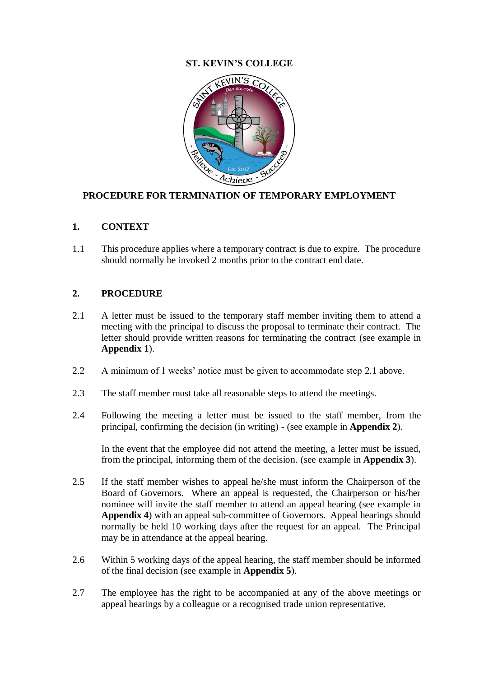## **ST. KEVIN'S COLLEGE**



## **PROCEDURE FOR TERMINATION OF TEMPORARY EMPLOYMENT**

#### **1. CONTEXT**

1.1 This procedure applies where a temporary contract is due to expire. The procedure should normally be invoked 2 months prior to the contract end date.

#### **2. PROCEDURE**

- 2.1 A letter must be issued to the temporary staff member inviting them to attend a meeting with the principal to discuss the proposal to terminate their contract. The letter should provide written reasons for terminating the contract (see example in **Appendix 1**).
- 2.2 A minimum of 1 weeks' notice must be given to accommodate step 2.1 above.
- 2.3 The staff member must take all reasonable steps to attend the meetings.
- 2.4 Following the meeting a letter must be issued to the staff member, from the principal, confirming the decision (in writing) - (see example in **Appendix 2**).

In the event that the employee did not attend the meeting, a letter must be issued, from the principal, informing them of the decision. (see example in **Appendix 3**).

- 2.5 If the staff member wishes to appeal he/she must inform the Chairperson of the Board of Governors. Where an appeal is requested, the Chairperson or his/her nominee will invite the staff member to attend an appeal hearing (see example in **Appendix 4**) with an appeal sub-committee of Governors. Appeal hearings should normally be held 10 working days after the request for an appeal. The Principal may be in attendance at the appeal hearing.
- 2.6 Within 5 working days of the appeal hearing, the staff member should be informed of the final decision (see example in **Appendix 5**).
- 2.7 The employee has the right to be accompanied at any of the above meetings or appeal hearings by a colleague or a recognised trade union representative.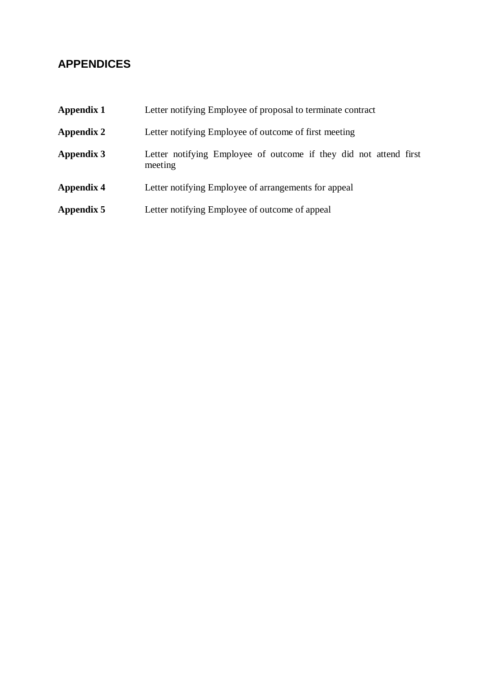# **APPENDICES**

| <b>Appendix 1</b> | Letter notifying Employee of proposal to terminate contract                  |
|-------------------|------------------------------------------------------------------------------|
| <b>Appendix 2</b> | Letter notifying Employee of outcome of first meeting                        |
| <b>Appendix 3</b> | Letter notifying Employee of outcome if they did not attend first<br>meeting |
| <b>Appendix 4</b> | Letter notifying Employee of arrangements for appeal                         |
| Appendix 5        | Letter notifying Employee of outcome of appeal                               |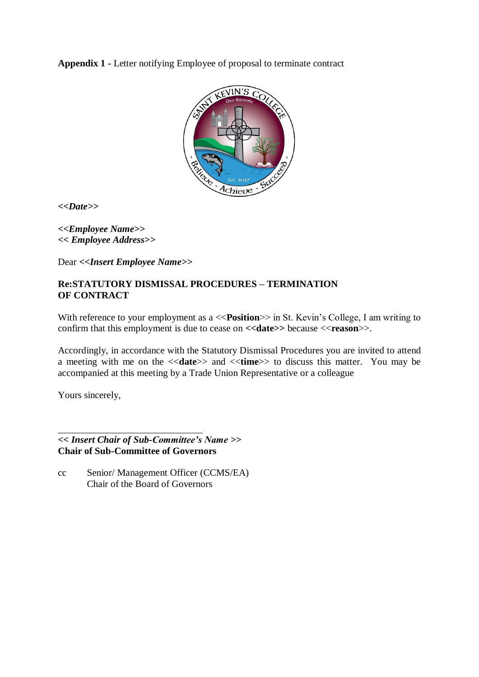**Appendix 1 -** Letter notifying Employee of proposal to terminate contract



**<<***Date>>*

*<<Employee Name>> << Employee Address>>*

Dear *<<Insert Employee Name>>*

### **Re:STATUTORY DISMISSAL PROCEDURES – TERMINATION OF CONTRACT**

With reference to your employment as a <<**Position**>> in St. Kevin's College, I am writing to confirm that this employment is due to cease on **<<date>>** because <<reason>>.

Accordingly, in accordance with the Statutory Dismissal Procedures you are invited to attend a meeting with me on the <<**date**>> and <<**time**>> to discuss this matter. You may be accompanied at this meeting by a Trade Union Representative or a colleague

Yours sincerely,

*<< Insert Chair of Sub-Committee's Name >>* **Chair of Sub-Committee of Governors**

cc Senior/ Management Officer (CCMS/EA) Chair of the Board of Governors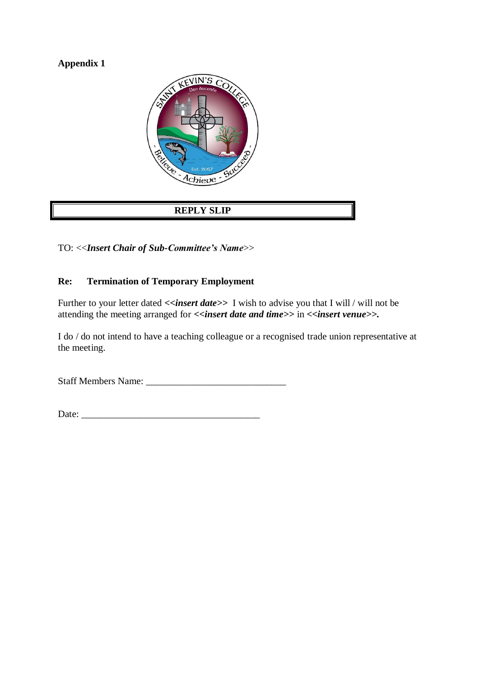# **Appendix 1**



# **REPLY SLIP**

TO: <<*Insert Chair of Sub-Committee's Name*>>

# **Re: Termination of Temporary Employment**

Further to your letter dated  $\langle$ *insert date>>* I wish to advise you that I will / will not be attending the meeting arranged for *<<insert date and time>>* in *<<insert venue>>*.

I do / do not intend to have a teaching colleague or a recognised trade union representative at the meeting.

Staff Members Name: \_\_\_\_\_\_\_\_\_\_\_\_\_\_\_\_\_\_\_\_\_\_\_\_\_\_\_\_\_

Date: \_\_\_\_\_\_\_\_\_\_\_\_\_\_\_\_\_\_\_\_\_\_\_\_\_\_\_\_\_\_\_\_\_\_\_\_\_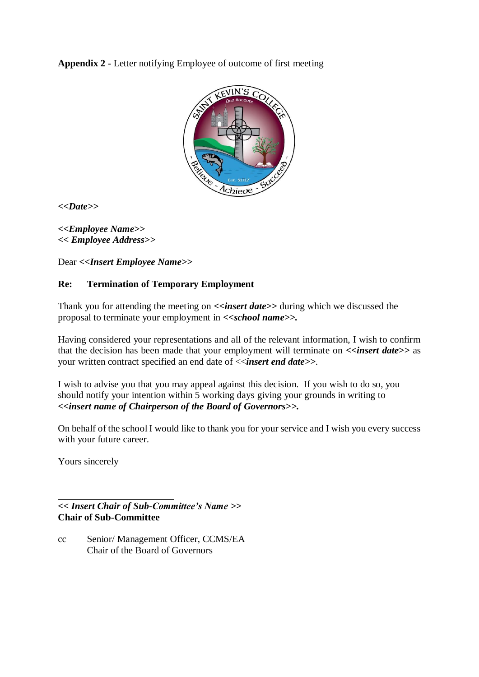**Appendix 2 -** Letter notifying Employee of outcome of first meeting



**<<***Date>>*

*<<Employee Name>> << Employee Address>>*

Dear *<<Insert Employee Name>>*

## **Re: Termination of Temporary Employment**

Thank you for attending the meeting on **<<***insert date***>>** during which we discussed the proposal to terminate your employment in *<<school name>>.*

Having considered your representations and all of the relevant information, I wish to confirm that the decision has been made that your employment will terminate on  $\langle$ *insert date*>> as your written contract specified an end date of <<*insert end date>>*.

I wish to advise you that you may appeal against this decision. If you wish to do so, you should notify your intention within 5 working days giving your grounds in writing to *<<insert name of Chairperson of the Board of Governors>>.*

On behalf of the school I would like to thank you for your service and I wish you every success with your future career.

Yours sincerely

*<< Insert Chair of Sub-Committee's Name >>* **Chair of Sub-Committee**

cc Senior/ Management Officer, CCMS/EA Chair of the Board of Governors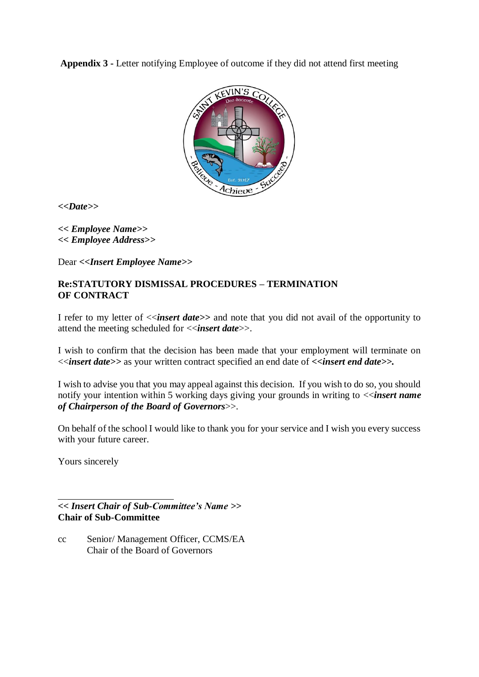**Appendix 3 -** Letter notifying Employee of outcome if they did not attend first meeting



**<<***Date>>*

*<< Employee Name>> << Employee Address>>*

Dear *<<Insert Employee Name>>*

## **Re:STATUTORY DISMISSAL PROCEDURES – TERMINATION OF CONTRACT**

I refer to my letter of <<*insert date>>* and note that you did not avail of the opportunity to attend the meeting scheduled for <<*insert date*>>.

I wish to confirm that the decision has been made that your employment will terminate on <<*insert date>>* as your written contract specified an end date of *<<insert end date>>.*

I wish to advise you that you may appeal against this decision. If you wish to do so, you should notify your intention within 5 working days giving your grounds in writing to <<*insert name of Chairperson of the Board of Governors*>>.

On behalf of the school I would like to thank you for your service and I wish you every success with your future career.

Yours sincerely

*<< Insert Chair of Sub-Committee's Name >>* **Chair of Sub-Committee**

cc Senior/ Management Officer, CCMS/EA Chair of the Board of Governors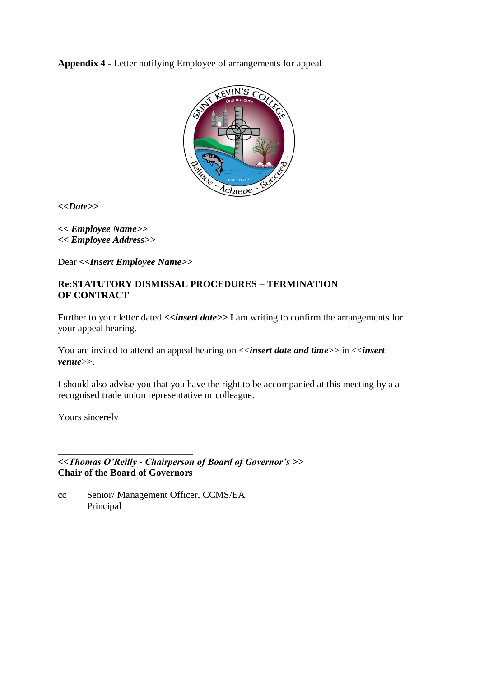**Appendix 4** - Letter notifying Employee of arrangements for appeal



**<<***Date>>*

*<< Employee Name>> << Employee Address>>*

Dear *<<Insert Employee Name>>*

### **Re:STATUTORY DISMISSAL PROCEDURES – TERMINATION OF CONTRACT**

Further to your letter dated  $\langle$ insert date>> I am writing to confirm the arrangements for your appeal hearing.

You are invited to attend an appeal hearing on  $\langle$ *insert date and time* $\rangle$  in  $\langle$ *insert venue*>>.

I should also advise you that you have the right to be accompanied at this meeting by a a recognised trade union representative or colleague.

Yours sincerely

*<<Thomas O'Reilly - Chairperson of Board of Governor's >>* **Chair of the Board of Governors**

cc Senior/ Management Officer, CCMS/EA Principal

\_\_\_\_\_\_\_\_\_\_\_\_\_\_\_\_\_\_\_\_\_\_\_\_\_\_\_\_